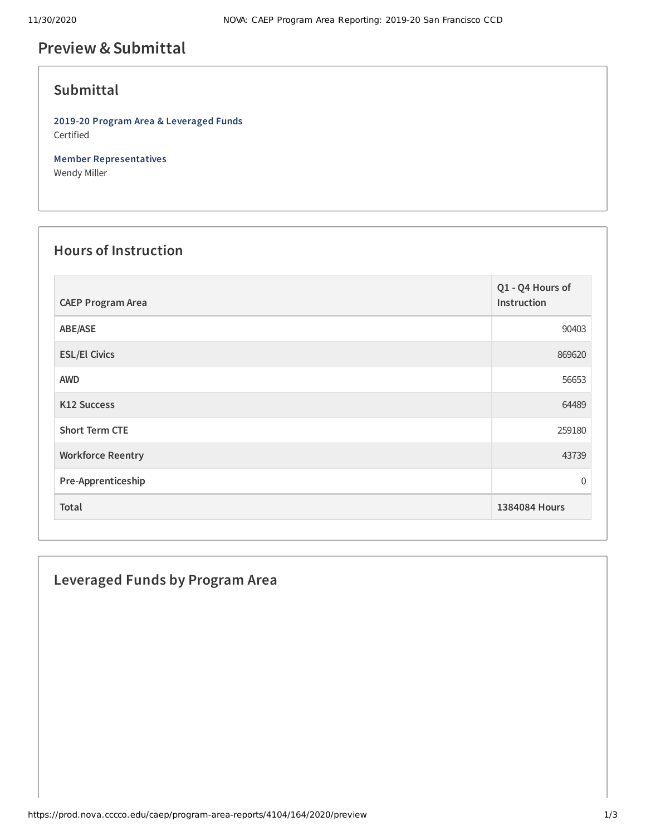# **Preview &Submittal**

## **Submittal**

**2019-20 Program Area & Leveraged Funds** Certified

**Member Representatives** Wendy Miller

#### **Hours of Instruction**

| <b>CAEP Program Area</b> | Q1 - Q4 Hours of<br>Instruction |
|--------------------------|---------------------------------|
| ABE/ASE                  | 90403                           |
| <b>ESL/El Civics</b>     | 869620                          |
| <b>AWD</b>               | 56653                           |
| <b>K12 Success</b>       | 64489                           |
| <b>Short Term CTE</b>    | 259180                          |
| <b>Workforce Reentry</b> | 43739                           |
| Pre-Apprenticeship       | $\mathbf 0$                     |
| Total                    | 1384084 Hours                   |

### **Leveraged Funds by Program Area**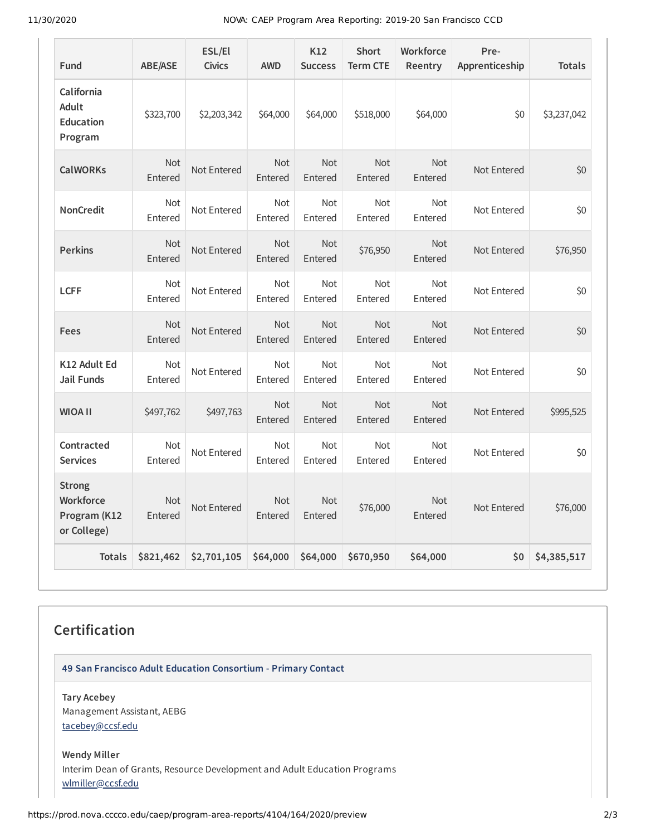11/30/2020 NOVA: CAEP Program Area Reporting: 2019-20 San Francisco CCD

| Fund                                                      | <b>ABE/ASE</b>        | ESL/El<br><b>Civics</b> | <b>AWD</b>            | K12<br><b>Success</b> | <b>Short</b><br><b>Term CTE</b> | Workforce<br>Reentry  | Pre-<br>Apprenticeship | <b>Totals</b> |
|-----------------------------------------------------------|-----------------------|-------------------------|-----------------------|-----------------------|---------------------------------|-----------------------|------------------------|---------------|
| California<br>Adult<br><b>Education</b><br>Program        | \$323,700             | \$2,203,342             | \$64,000              | \$64,000              | \$518,000                       | \$64,000              | \$0                    | \$3,237,042   |
| <b>CalWORKs</b>                                           | <b>Not</b><br>Entered | Not Entered             | <b>Not</b><br>Entered | <b>Not</b><br>Entered | <b>Not</b><br>Entered           | <b>Not</b><br>Entered | Not Entered            | \$0           |
| <b>NonCredit</b>                                          | <b>Not</b><br>Entered | Not Entered             | <b>Not</b><br>Entered | <b>Not</b><br>Entered | <b>Not</b><br>Entered           | <b>Not</b><br>Entered | Not Entered            | \$0           |
| <b>Perkins</b>                                            | <b>Not</b><br>Entered | Not Entered             | <b>Not</b><br>Entered | <b>Not</b><br>Entered | \$76,950                        | <b>Not</b><br>Entered | Not Entered            | \$76,950      |
| <b>LCFF</b>                                               | <b>Not</b><br>Entered | Not Entered             | <b>Not</b><br>Entered | <b>Not</b><br>Entered | <b>Not</b><br>Entered           | <b>Not</b><br>Entered | Not Entered            | \$0           |
| Fees                                                      | <b>Not</b><br>Entered | Not Entered             | <b>Not</b><br>Entered | <b>Not</b><br>Entered | <b>Not</b><br>Entered           | <b>Not</b><br>Entered | Not Entered            | \$0           |
| K12 Adult Ed<br><b>Jail Funds</b>                         | <b>Not</b><br>Entered | Not Entered             | Not<br>Entered        | Not<br>Entered        | <b>Not</b><br>Entered           | <b>Not</b><br>Entered | Not Entered            | \$0           |
| <b>II AOIW</b>                                            | \$497,762             | \$497,763               | <b>Not</b><br>Entered | <b>Not</b><br>Entered | <b>Not</b><br>Entered           | <b>Not</b><br>Entered | Not Entered            | \$995,525     |
| Contracted<br><b>Services</b>                             | <b>Not</b><br>Entered | Not Entered             | <b>Not</b><br>Entered | Not<br>Entered        | <b>Not</b><br>Entered           | <b>Not</b><br>Entered | Not Entered            | \$0           |
| <b>Strong</b><br>Workforce<br>Program (K12<br>or College) | <b>Not</b><br>Entered | Not Entered             | <b>Not</b><br>Entered | <b>Not</b><br>Entered | \$76,000                        | <b>Not</b><br>Entered | Not Entered            | \$76,000      |
| <b>Totals</b>                                             | \$821,462             | \$2,701,105             | \$64,000              | \$64,000              | \$670,950                       | \$64,000              | \$0                    | \$4,385,517   |

## **Certification**

**49 San Francisco Adult Education Consortium - Primary Contact**

**Tary Acebey** Management Assistant, AEBG [tacebey@ccsf.edu](mailto:tacebey@ccsf.edu)

**Wendy Miller** Interim Dean of Grants, Resource Development and Adult Education Programs [wlmiller@ccsf.edu](mailto:wlmiller@ccsf.edu)